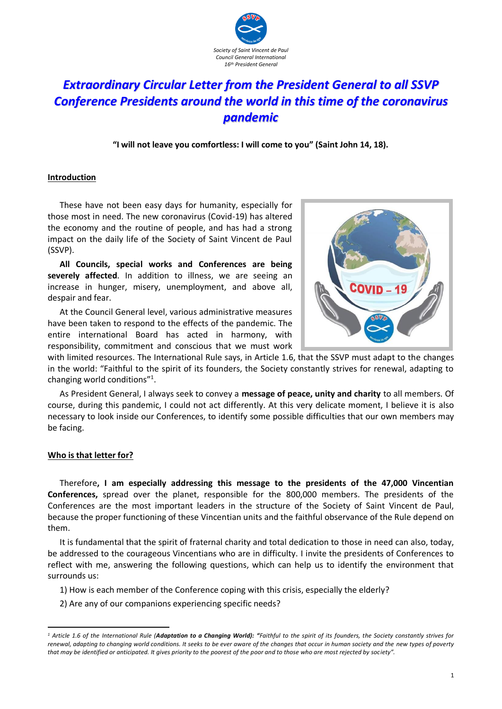

# *Extraordinary Circular Letter from the President General to all SSVP Conference Presidents around the world in this time of the coronavirus pandemic*

**"I will not leave you comfortless: I will come to you" (Saint John 14, 18).**

#### **Introduction**

These have not been easy days for humanity, especially for those most in need. The new coronavirus (Covid-19) has altered the economy and the routine of people, and has had a strong impact on the daily life of the Society of Saint Vincent de Paul (SSVP).

**All Councils, special works and Conferences are being severely affected**. In addition to illness, we are seeing an increase in hunger, misery, unemployment, and above all, despair and fear.

At the Council General level, various administrative measures have been taken to respond to the effects of the pandemic. The entire international Board has acted in harmony, with responsibility, commitment and conscious that we must work



with limited resources. The International Rule says, in Article 1.6, that the SSVP must adapt to the changes in the world: "Faithful to the spirit of its founders, the Society constantly strives for renewal, adapting to changing world conditions"<sup>1</sup>.

As President General, I always seek to convey a **message of peace, unity and charity** to all members. Of course, during this pandemic, I could not act differently. At this very delicate moment, I believe it is also necessary to look inside our Conferences, to identify some possible difficulties that our own members may be facing.

# **Who is that letter for?**

1

Therefore**, I am especially addressing this message to the presidents of the 47,000 Vincentian Conferences,** spread over the planet, responsible for the 800,000 members. The presidents of the Conferences are the most important leaders in the structure of the Society of Saint Vincent de Paul, because the proper functioning of these Vincentian units and the faithful observance of the Rule depend on them.

It is fundamental that the spirit of fraternal charity and total dedication to those in need can also, today, be addressed to the courageous Vincentians who are in difficulty. I invite the presidents of Conferences to reflect with me, answering the following questions, which can help us to identify the environment that surrounds us:

1) How is each member of the Conference coping with this crisis, especially the elderly?

2) Are any of our companions experiencing specific needs?

*<sup>1</sup> Article 1.6 of the International Rule (Adaptation to a Changing World): "Faithful to the spirit of its founders, the Society constantly strives for renewal, adapting to changing world conditions. It seeks to be ever aware of the changes that occur in human society and the new types of poverty that may be identified or anticipated. It gives priority to the poorest of the poor and to those who are most rejected by society".*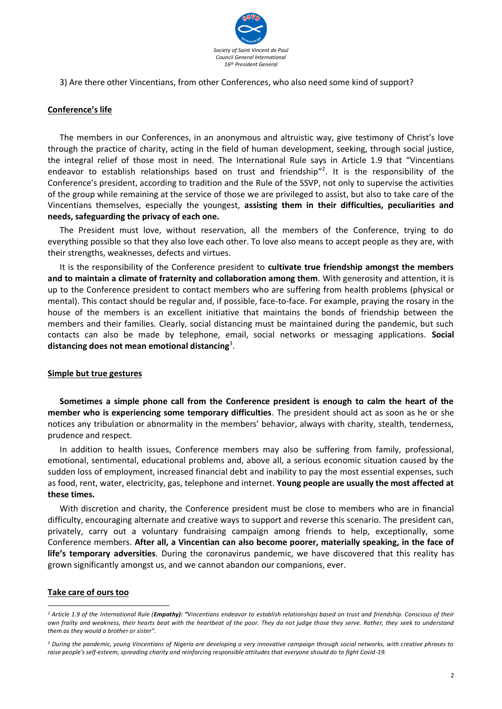

3) Are there other Vincentians, from other Conferences, who also need some kind of support?

# **Conference's life**

The members in our Conferences, in an anonymous and altruistic way, give testimony of Christ's love through the practice of charity, acting in the field of human development, seeking, through social justice, the integral relief of those most in need. The International Rule says in Article 1.9 that "Vincentians endeavor to establish relationships based on trust and friendship"<sup>2</sup>. It is the responsibility of the Conference's president, according to tradition and the Rule of the SSVP, not only to supervise the activities of the group while remaining at the service of those we are privileged to assist, but also to take care of the Vincentians themselves, especially the youngest, **assisting them in their difficulties, peculiarities and needs, safeguarding the privacy of each one.** 

The President must love, without reservation, all the members of the Conference, trying to do everything possible so that they also love each other. To love also means to accept people as they are, with their strengths, weaknesses, defects and virtues.

It is the responsibility of the Conference president to **cultivate true friendship amongst the members and to maintain a climate of fraternity and collaboration among them**. With generosity and attention, it is up to the Conference president to contact members who are suffering from health problems (physical or mental). This contact should be regular and, if possible, face-to-face. For example, praying the rosary in the house of the members is an excellent initiative that maintains the bonds of friendship between the members and their families. Clearly, social distancing must be maintained during the pandemic, but such contacts can also be made by telephone, email, social networks or messaging applications. **Social distancing does not mean emotional distancing**<sup>3</sup> .

# **Simple but true gestures**

**Sometimes a simple phone call from the Conference president is enough to calm the heart of the member who is experiencing some temporary difficulties**. The president should act as soon as he or she notices any tribulation or abnormality in the members' behavior, always with charity, stealth, tenderness, prudence and respect.

In addition to health issues, Conference members may also be suffering from family, professional, emotional, sentimental, educational problems and, above all, a serious economic situation caused by the sudden loss of employment, increased financial debt and inability to pay the most essential expenses, such as food, rent, water, electricity, gas, telephone and internet. **Young people are usually the most affected at these times.**

With discretion and charity, the Conference president must be close to members who are in financial difficulty, encouraging alternate and creative ways to support and reverse this scenario. The president can, privately, carry out a voluntary fundraising campaign among friends to help, exceptionally, some Conference members. **After all, a Vincentian can also become poorer, materially speaking, in the face of life's temporary adversities**. During the coronavirus pandemic, we have discovered that this reality has grown significantly amongst us, and we cannot abandon our companions, ever.

# **Take care of ours too**

-

*<sup>2</sup> Article 1.9 of the International Rule (Empathy): "Vincentians endeavor to establish relationships based on trust and friendship. Conscious of their own frailty and weakness, their hearts beat with the heartbeat of the poor. They do not judge those they serve. Rather, they seek to understand them as they would a brother or sister".*

*<sup>3</sup> During the pandemic, young Vincentians of Nigeria are developing a very innovative campaign through social networks, with creative phrases to raise people's self-esteem, spreading charity and reinforcing responsible attitudes that everyone should do to fight Covid-19.*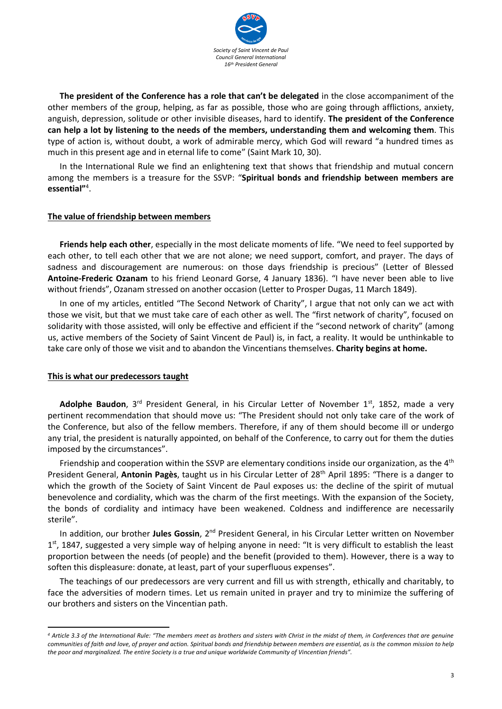

**The president of the Conference has a role that can't be delegated** in the close accompaniment of the other members of the group, helping, as far as possible, those who are going through afflictions, anxiety, anguish, depression, solitude or other invisible diseases, hard to identify. **The president of the Conference can help a lot by listening to the needs of the members, understanding them and welcoming them**. This type of action is, without doubt, a work of admirable mercy, which God will reward "a hundred times as much in this present age and in eternal life to come" (Saint Mark 10, 30).

In the International Rule we find an enlightening text that shows that friendship and mutual concern among the members is a treasure for the SSVP: "**Spiritual bonds and friendship between members are essential"**<sup>4</sup> .

#### **The value of friendship between members**

**Friends help each other**, especially in the most delicate moments of life. "We need to feel supported by each other, to tell each other that we are not alone; we need support, comfort, and prayer. The days of sadness and discouragement are numerous: on those days friendship is precious" (Letter of Blessed **Antoine-Frederic Ozanam** to his friend Leonard Gorse, 4 January 1836). "I have never been able to live without friends", Ozanam stressed on another occasion (Letter to Prosper Dugas, 11 March 1849).

In one of my articles, entitled "The Second Network of Charity", I argue that not only can we act with those we visit, but that we must take care of each other as well. The "first network of charity", focused on solidarity with those assisted, will only be effective and efficient if the "second network of charity" (among us, active members of the Society of Saint Vincent de Paul) is, in fact, a reality. It would be unthinkable to take care only of those we visit and to abandon the Vincentians themselves. **Charity begins at home.**

#### **This is what our predecessors taught**

1

Adolphe Baudon, 3<sup>rd</sup> President General, in his Circular Letter of November 1<sup>st</sup>, 1852, made a very pertinent recommendation that should move us: "The President should not only take care of the work of the Conference, but also of the fellow members. Therefore, if any of them should become ill or undergo any trial, the president is naturally appointed, on behalf of the Conference, to carry out for them the duties imposed by the circumstances".

Friendship and cooperation within the SSVP are elementary conditions inside our organization, as the  $4<sup>th</sup>$ President General, **Antonin Pagès**, taught us in his Circular Letter of 28th April 1895: "There is a danger to which the growth of the Society of Saint Vincent de Paul exposes us: the decline of the spirit of mutual benevolence and cordiality, which was the charm of the first meetings. With the expansion of the Society, the bonds of cordiality and intimacy have been weakened. Coldness and indifference are necessarily sterile".

In addition, our brother **Jules Gossin**, 2<sup>nd</sup> President General, in his Circular Letter written on November 1<sup>st</sup>, 1847, suggested a very simple way of helping anyone in need: "It is very difficult to establish the least proportion between the needs (of people) and the benefit (provided to them). However, there is a way to soften this displeasure: donate, at least, part of your superfluous expenses".

The teachings of our predecessors are very current and fill us with strength, ethically and charitably, to face the adversities of modern times. Let us remain united in prayer and try to minimize the suffering of our brothers and sisters on the Vincentian path.

*<sup>4</sup> Article 3.3 of the International Rule: "The members meet as brothers and sisters with Christ in the midst of them, in Conferences that are genuine communities of faith and love, of prayer and action. Spiritual bonds and friendship between members are essential, as is the common mission to help the poor and marginalized. The entire Society is a true and unique worldwide Community of Vincentian friends".*